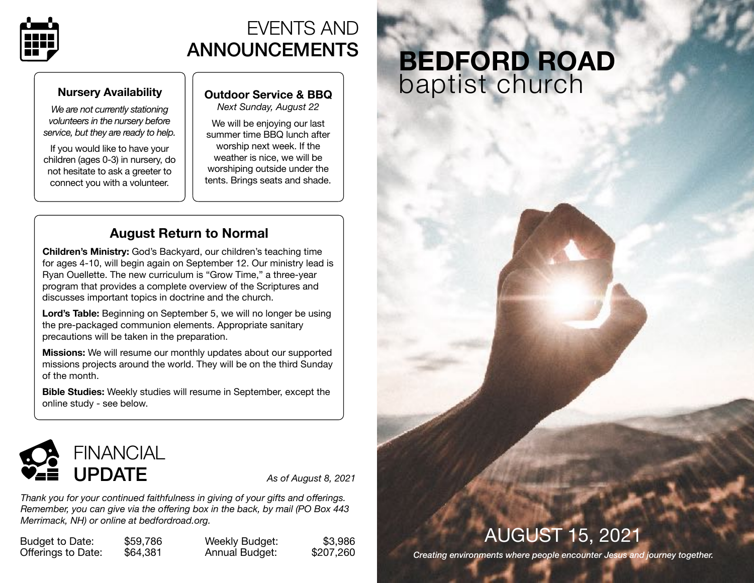

# EVENTS AND ANNOUNCEMENTS

### **Nursery Availability**

*We are not currently stationing volunteers in the nursery before service, but they are ready to help.* 

If you would like to have your children (ages 0-3) in nursery, do not hesitate to ask a greeter to connect you with a volunteer.

## **Outdoor Service & BBQ**

*Next Sunday, August 22*

We will be enjoying our last summer time BBQ lunch after worship next week. If the weather is nice, we will be worshiping outside under the tents. Brings seats and shade.

## **August Return to Normal**

**Children's Ministry:** God's Backyard, our children's teaching time for ages 4-10, will begin again on September 12. Our ministry lead is Ryan Ouellette. The new curriculum is "Grow Time," a three-year program that provides a complete overview of the Scriptures and discusses important topics in doctrine and the church.

**Lord's Table:** Beginning on September 5, we will no longer be using the pre-packaged communion elements. Appropriate sanitary precautions will be taken in the preparation.

**Missions:** We will resume our monthly updates about our supported missions projects around the world. They will be on the third Sunday of the month.

**Bible Studies:** Weekly studies will resume in September, except the online study - see below.



*Thank you for your continued faithfulness in giving of your gifts and offerings. Remember, you can give via the offering box in the back, by mail (PO Box 443 Merrimack, NH) or online at [bedfordroad.org.](http://bedfordroad.org)*

Budget to Date: \$59,786 Offerings to Date: \$64,381

Weekly Budget: \$3,986 Annual Budget: \$207,260

# **BEDFORD ROAD**  baptist church

# AUGUST 15, 2021

*Creating environments where people encounter Jesus and journey together.*